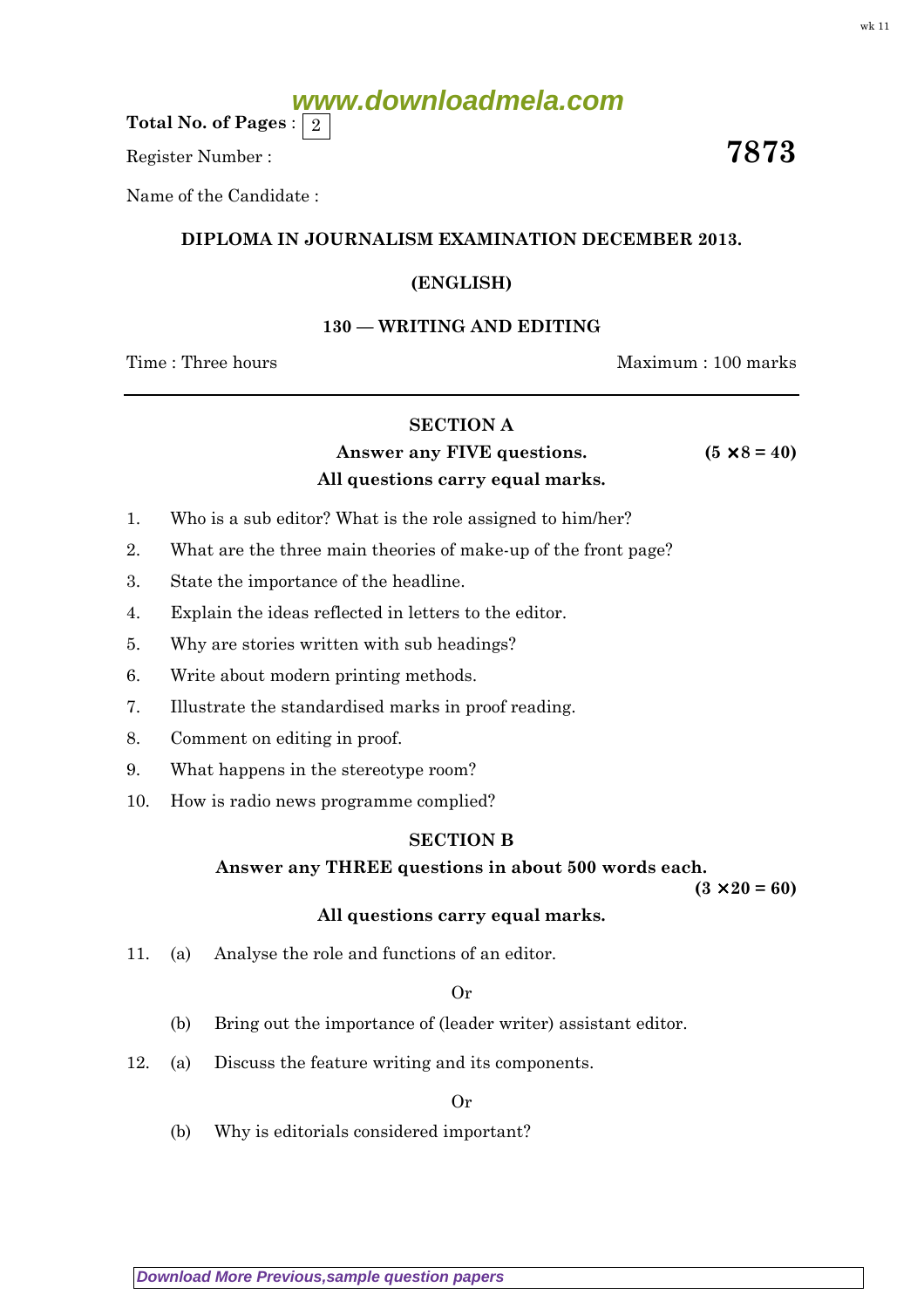Total No. of Pages :  $\mid 2 \rangle$ 

Register Number :  $\overline{\hspace{1.6cm}7873}$ 

Name of the Candidate :

# DIPLOMA IN JOURNALISM EXAMINATION DECEMBER 2013.

# (ENGLISH)

### 130 — WRITING AND EDITING

Time : Three hours and the matter of the Maximum : 100 marks

# SECTION A

Answer any FIVE questions.  $(5 \times 8 = 40)$ All questions carry equal marks.

- 1. Who is a sub editor? What is the role assigned to him/her?
- 2. What are the three main theories of make-up of the front page?
- 3. State the importance of the headline.
- 4. Explain the ideas reflected in letters to the editor.
- 5. Why are stories written with sub headings?
- 6. Write about modern printing methods.
- 7. Illustrate the standardised marks in proof reading.
- 8. Comment on editing in proof.
- 9. What happens in the stereotype room?
- 10. How is radio news programme complied?

#### SECTION B

#### Answer any THREE questions in about 500 words each.

 $(3 \times 20 = 60)$ 

#### All questions carry equal marks.

11. (a) Analyse the role and functions of an editor.

#### Or

- (b) Bring out the importance of (leader writer) assistant editor.
- 12. (a) Discuss the feature writing and its components.

Or

(b) Why is editorials considered important?